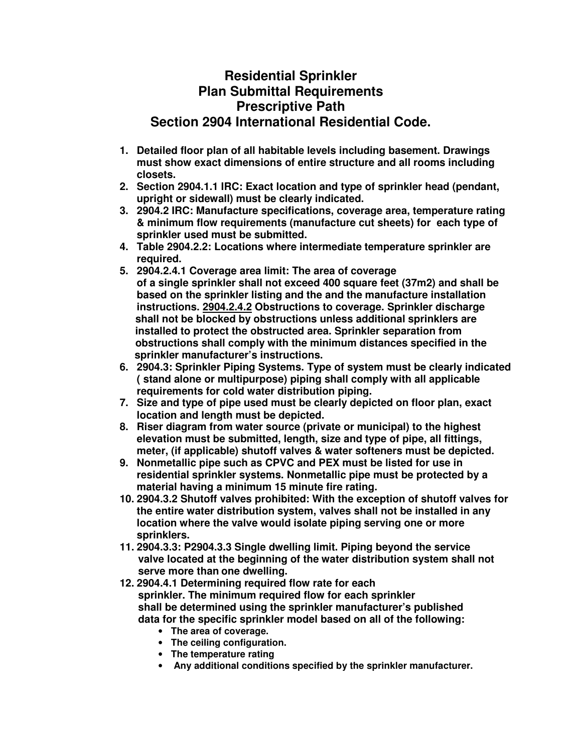## **Residential Sprinkler Plan Submittal Requirements Prescriptive Path Section 2904 International Residential Code.**

- **1. Detailed floor plan of all habitable levels including basement. Drawings must show exact dimensions of entire structure and all rooms including closets.**
- **2. Section 2904.1.1 IRC: Exact location and type of sprinkler head (pendant, upright or sidewall) must be clearly indicated.**
- **3. 2904.2 IRC: Manufacture specifications, coverage area, temperature rating & minimum flow requirements (manufacture cut sheets) for each type of sprinkler used must be submitted.**
- **4. Table 2904.2.2: Locations where intermediate temperature sprinkler are required.**
- **5. 2904.2.4.1 Coverage area limit: The area of coverage of a single sprinkler shall not exceed 400 square feet (37m2) and shall be based on the sprinkler listing and the and the manufacture installation instructions. 2904.2.4.2 Obstructions to coverage. Sprinkler discharge shall not be blocked by obstructions unless additional sprinklers are installed to protect the obstructed area. Sprinkler separation from obstructions shall comply with the minimum distances specified in the sprinkler manufacturer's instructions.**
- **6. 2904.3: Sprinkler Piping Systems. Type of system must be clearly indicated ( stand alone or multipurpose) piping shall comply with all applicable requirements for cold water distribution piping.**
- **7. Size and type of pipe used must be clearly depicted on floor plan, exact location and length must be depicted.**
- **8. Riser diagram from water source (private or municipal) to the highest elevation must be submitted, length, size and type of pipe, all fittings, meter, (if applicable) shutoff valves & water softeners must be depicted.**
- **9. Nonmetallic pipe such as CPVC and PEX must be listed for use in residential sprinkler systems. Nonmetallic pipe must be protected by a material having a minimum 15 minute fire rating.**
- **10. 2904.3.2 Shutoff valves prohibited: With the exception of shutoff valves for the entire water distribution system, valves shall not be installed in any location where the valve would isolate piping serving one or more sprinklers.**
- **11. 2904.3.3: P2904.3.3 Single dwelling limit. Piping beyond the service valve located at the beginning of the water distribution system shall not serve more than one dwelling.**
- **12. 2904.4.1 Determining required flow rate for each sprinkler. The minimum required flow for each sprinkler shall be determined using the sprinkler manufacturer's published data for the specific sprinkler model based on all of the following:** 
	- **The area of coverage.**
	- **The ceiling configuration.**
	- **The temperature rating**
	- • **Any additional conditions specified by the sprinkler manufacturer.**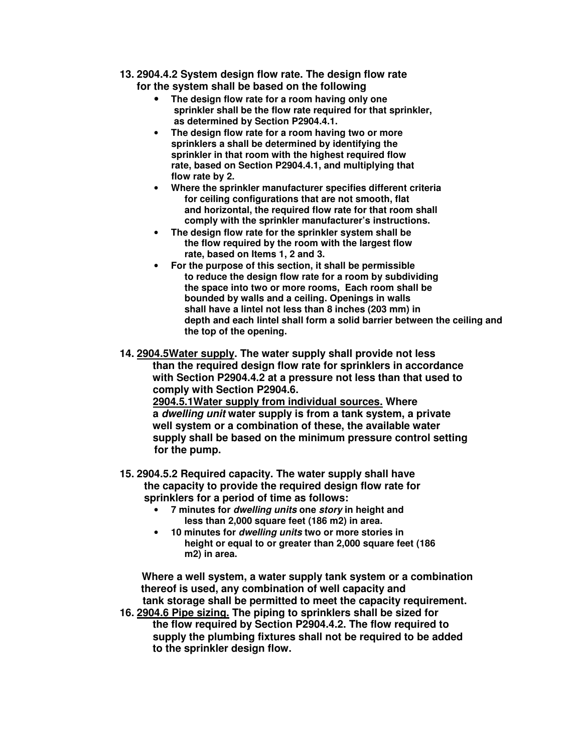- **13. 2904.4.2 System design flow rate. The design flow rate for the system shall be based on the following** 
	- **The design flow rate for a room having only one sprinkler shall be the flow rate required for that sprinkler, as determined by Section P2904.4.1.**
	- **The design flow rate for a room having two or more sprinklers a shall be determined by identifying the sprinkler in that room with the highest required flow rate, based on Section P2904.4.1, and multiplying that flow rate by 2.**
	- **Where the sprinkler manufacturer specifies different criteria for ceiling configurations that are not smooth, flat and horizontal, the required flow rate for that room shall comply with the sprinkler manufacturer's instructions.**
	- **The design flow rate for the sprinkler system shall be the flow required by the room with the largest flow rate, based on Items 1, 2 and 3.**
	- **For the purpose of this section, it shall be permissible to reduce the design flow rate for a room by subdividing the space into two or more rooms, Each room shall be bounded by walls and a ceiling. Openings in walls shall have a lintel not less than 8 inches (203 mm) in depth and each lintel shall form a solid barrier between the ceiling and the top of the opening.**
- **14. 2904.5Water supply. The water supply shall provide not less than the required design flow rate for sprinklers in accordance with Section P2904.4.2 at a pressure not less than that used to comply with Section P2904.6. 2904.5.1Water supply from individual sources. Where a dwelling unit water supply is from a tank system, a private well system or a combination of these, the available water supply shall be based on the minimum pressure control setting for the pump.**
- **15. 2904.5.2 Required capacity. The water supply shall have the capacity to provide the required design flow rate for sprinklers for a period of time as follows:** 
	- **7 minutes for dwelling units one story in height and less than 2,000 square feet (186 m2) in area.**
	- **10 minutes for dwelling units two or more stories in height or equal to or greater than 2,000 square feet (186 m2) in area.**

 **Where a well system, a water supply tank system or a combination thereof is used, any combination of well capacity and tank storage shall be permitted to meet the capacity requirement. 16. 2904.6 Pipe sizing. The piping to sprinklers shall be sized for** 

 **the flow required by Section P2904.4.2. The flow required to supply the plumbing fixtures shall not be required to be added to the sprinkler design flow.**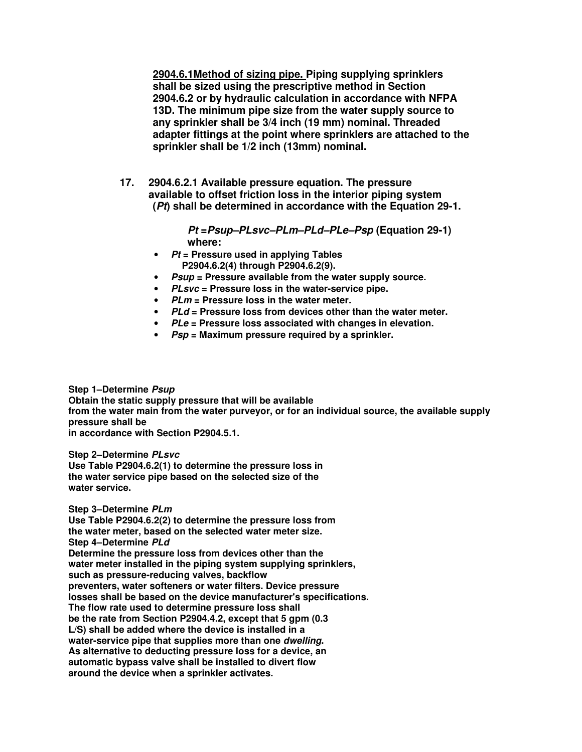**2904.6.1Method of sizing pipe. Piping supplying sprinklers shall be sized using the prescriptive method in Section 2904.6.2 or by hydraulic calculation in accordance with NFPA 13D. The minimum pipe size from the water supply source to any sprinkler shall be 3/4 inch (19 mm) nominal. Threaded adapter fittings at the point where sprinklers are attached to the sprinkler shall be 1/2 inch (13mm) nominal.** 

**17. 2904.6.2.1 Available pressure equation. The pressure available to offset friction loss in the interior piping system (Pt) shall be determined in accordance with the Equation 29-1.** 

> **Pt =Psup–PLsvc–PLm–PLd–PLe–Psp (Equation 29-1) where:**

- **Pt = Pressure used in applying Tables P2904.6.2(4) through P2904.6.2(9).**
- **Psup = Pressure available from the water supply source.**
- **PLsvc = Pressure loss in the water-service pipe.**
- **PLm = Pressure loss in the water meter.**
- **PLd = Pressure loss from devices other than the water meter.**
- **PLe = Pressure loss associated with changes in elevation.**
- **Psp = Maximum pressure required by a sprinkler.**

## **Step 1–Determine Psup**

**Obtain the static supply pressure that will be available from the water main from the water purveyor, or for an individual source, the available supply pressure shall be** 

**in accordance with Section P2904.5.1.** 

### **Step 2–Determine PLsvc**

**Use Table P2904.6.2(1) to determine the pressure loss in the water service pipe based on the selected size of the water service.** 

## **Step 3–Determine PLm**

**Use Table P2904.6.2(2) to determine the pressure loss from the water meter, based on the selected water meter size. Step 4–Determine PLd Determine the pressure loss from devices other than the water meter installed in the piping system supplying sprinklers, such as pressure-reducing valves, backflow preventers, water softeners or water filters. Device pressure losses shall be based on the device manufacturer's specifications. The flow rate used to determine pressure loss shall be the rate from Section P2904.4.2, except that 5 gpm (0.3 L/S) shall be added where the device is installed in a water-service pipe that supplies more than one dwelling. As alternative to deducting pressure loss for a device, an automatic bypass valve shall be installed to divert flow around the device when a sprinkler activates.**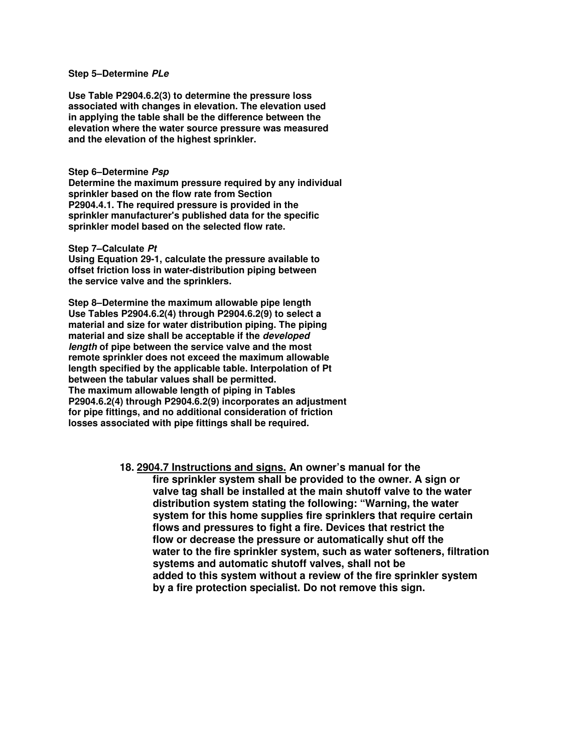### **Step 5–Determine PLe**

**Use Table P2904.6.2(3) to determine the pressure loss associated with changes in elevation. The elevation used in applying the table shall be the difference between the elevation where the water source pressure was measured and the elevation of the highest sprinkler.** 

#### **Step 6–Determine Psp**

**Determine the maximum pressure required by any individual sprinkler based on the flow rate from Section P2904.4.1. The required pressure is provided in the sprinkler manufacturer's published data for the specific sprinkler model based on the selected flow rate.** 

#### **Step 7–Calculate Pt**

**Using Equation 29-1, calculate the pressure available to offset friction loss in water-distribution piping between the service valve and the sprinklers.** 

**Step 8–Determine the maximum allowable pipe length Use Tables P2904.6.2(4) through P2904.6.2(9) to select a material and size for water distribution piping. The piping material and size shall be acceptable if the developed length of pipe between the service valve and the most remote sprinkler does not exceed the maximum allowable length specified by the applicable table. Interpolation of Pt between the tabular values shall be permitted. The maximum allowable length of piping in Tables P2904.6.2(4) through P2904.6.2(9) incorporates an adjustment for pipe fittings, and no additional consideration of friction losses associated with pipe fittings shall be required.** 

### **18. 2904.7 Instructions and signs. An owner's manual for the**

 **fire sprinkler system shall be provided to the owner. A sign or valve tag shall be installed at the main shutoff valve to the water distribution system stating the following: "Warning, the water system for this home supplies fire sprinklers that require certain flows and pressures to fight a fire. Devices that restrict the flow or decrease the pressure or automatically shut off the water to the fire sprinkler system, such as water softeners, filtration systems and automatic shutoff valves, shall not be added to this system without a review of the fire sprinkler system by a fire protection specialist. Do not remove this sign.**